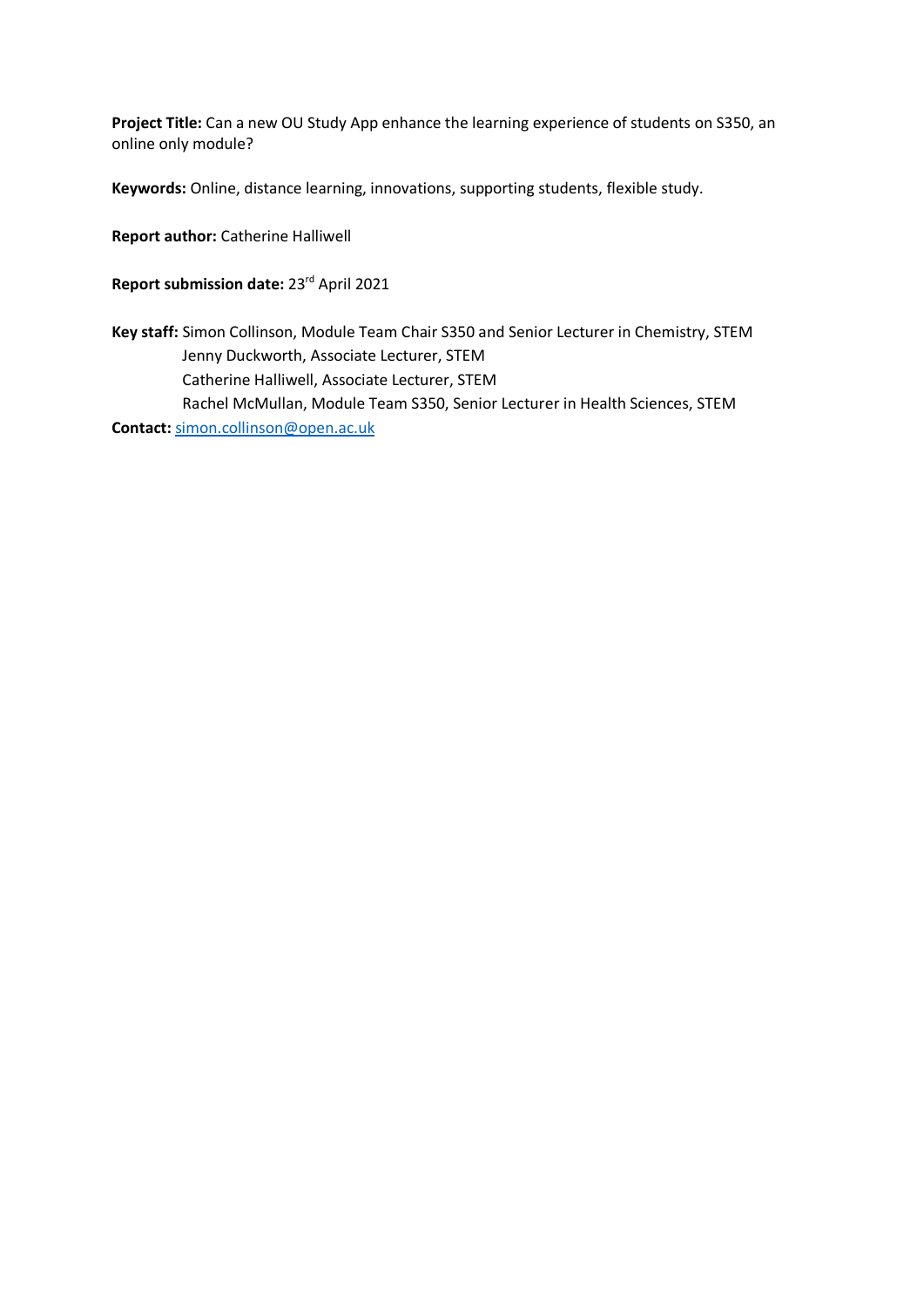**Project Title:** Can a new OU Study App enhance the learning experience of students on S350, an online only module?

**Keywords:** Online, distance learning, innovations, supporting students, flexible study.

**Report author:** Catherine Halliwell

**Report submission date:** 23rd April 2021

**Key staff:** Simon Collinson, Module Team Chair S350 and Senior Lecturer in Chemistry, STEM Jenny Duckworth, Associate Lecturer, STEM Catherine Halliwell, Associate Lecturer, STEM Rachel McMullan, Module Team S350, Senior Lecturer in Health Sciences, STEM

**Contact:** [simon.collinson@open.ac.uk](mailto:simon.collinson@open.ac.uk)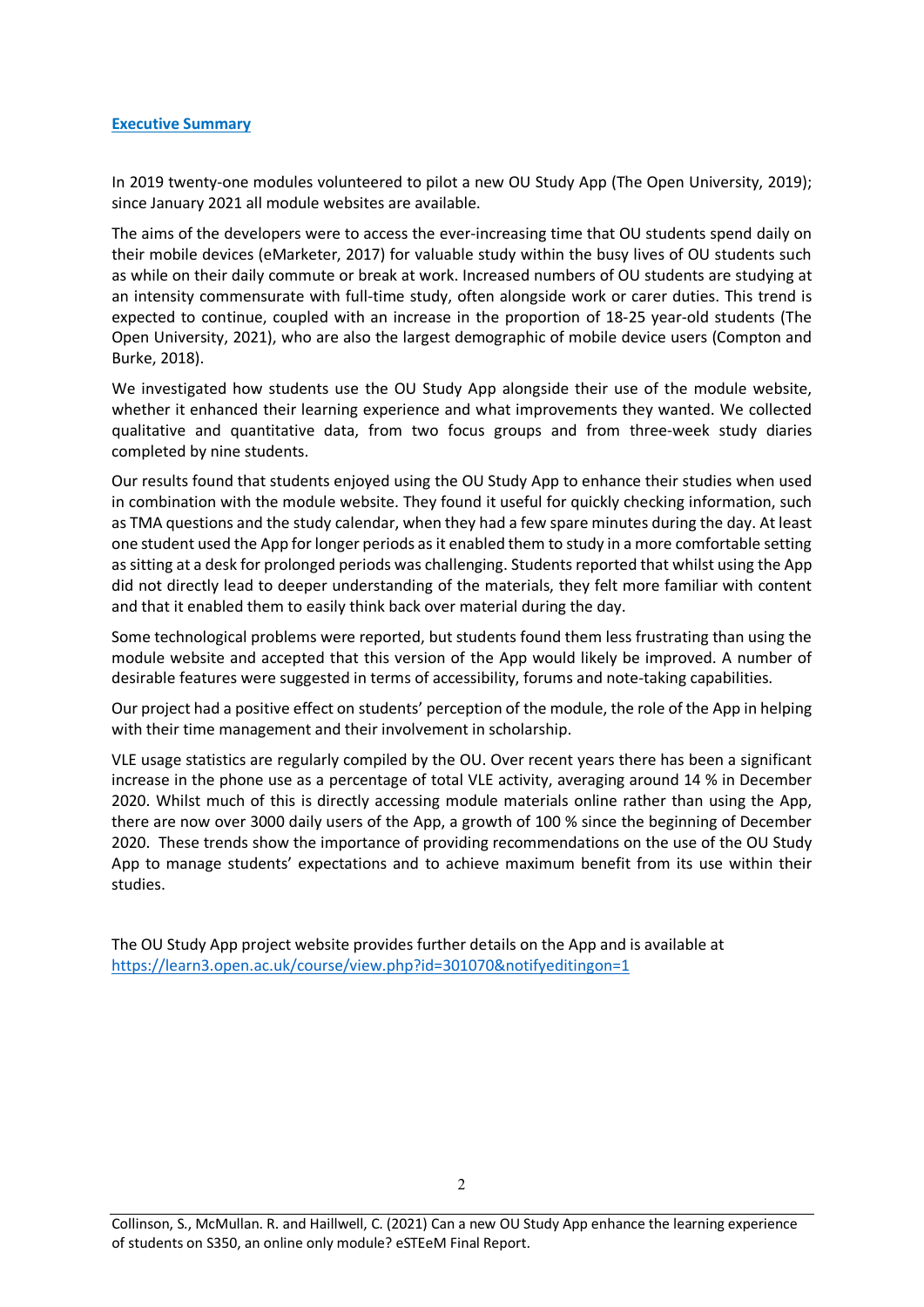#### **Executive Summary**

In 2019 twenty-one modules volunteered to pilot a new OU Study App (The Open University, 2019); since January 2021 all module websites are available.

The aims of the developers were to access the ever-increasing time that OU students spend daily on their mobile devices (eMarketer, 2017) for valuable study within the busy lives of OU students such as while on their daily commute or break at work. Increased numbers of OU students are studying at an intensity commensurate with full-time study, often alongside work or carer duties. This trend is expected to continue, coupled with an increase in the proportion of 18-25 year-old students (The Open University, 2021), who are also the largest demographic of mobile device users (Compton and Burke, 2018).

We investigated how students use the OU Study App alongside their use of the module website, whether it enhanced their learning experience and what improvements they wanted. We collected qualitative and quantitative data, from two focus groups and from three-week study diaries completed by nine students.

Our results found that students enjoyed using the OU Study App to enhance their studies when used in combination with the module website. They found it useful for quickly checking information, such as TMA questions and the study calendar, when they had a few spare minutes during the day. At least one student used the App for longer periods as it enabled them to study in a more comfortable setting as sitting at a desk for prolonged periods was challenging. Students reported that whilst using the App did not directly lead to deeper understanding of the materials, they felt more familiar with content and that it enabled them to easily think back over material during the day.

Some technological problems were reported, but students found them less frustrating than using the module website and accepted that this version of the App would likely be improved. A number of desirable features were suggested in terms of accessibility, forums and note-taking capabilities.

Our project had a positive effect on students' perception of the module, the role of the App in helping with their time management and their involvement in scholarship.

VLE usage statistics are regularly compiled by the OU. Over recent years there has been a significant increase in the phone use as a percentage of total VLE activity, averaging around 14 % in December 2020. Whilst much of this is directly accessing module materials online rather than using the App, there are now over 3000 daily users of the App, a growth of 100 % since the beginning of December 2020. These trends show the importance of providing recommendations on the use of the OU Study App to manage students' expectations and to achieve maximum benefit from its use within their studies.

The OU Study App project website provides further details on the App and is available at [https://learn3.open.ac.uk/course/view.php?id=301070&notifyeditingon=1](https://learn3.open.ac.uk/course/view.php?id=301070¬ifyeditingon=1)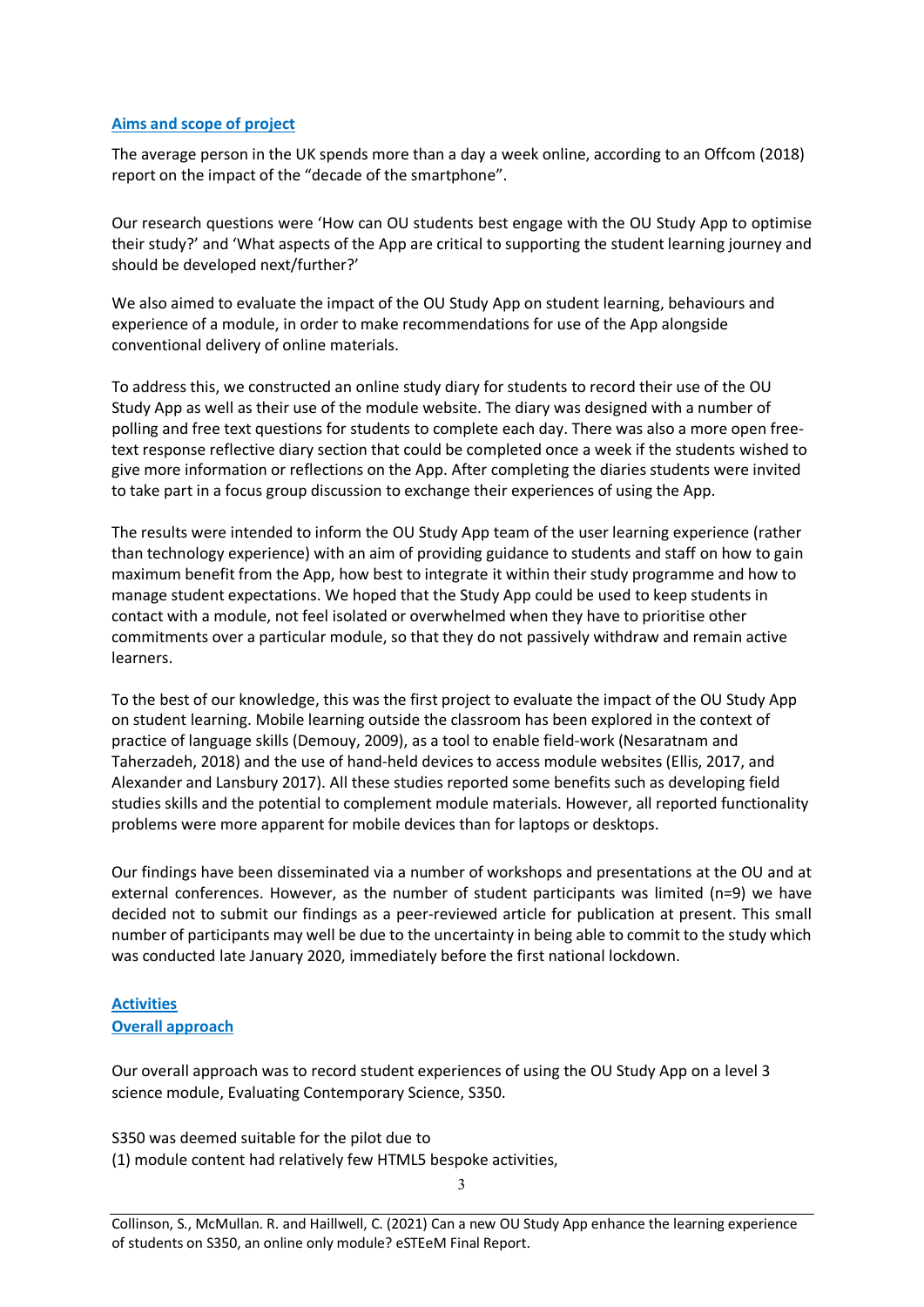#### **Aims and scope of project**

The average person in the UK spends more than a day a week online, according to an Offcom (2018) report on the impact of the "decade of the smartphone".

Our research questions were 'How can OU students best engage with the OU Study App to optimise their study?' and 'What aspects of the App are critical to supporting the student learning journey and should be developed next/further?'

We also aimed to evaluate the impact of the OU Study App on student learning, behaviours and experience of a module, in order to make recommendations for use of the App alongside conventional delivery of online materials.

To address this, we constructed an online study diary for students to record their use of the OU Study App as well as their use of the module website. The diary was designed with a number of polling and free text questions for students to complete each day. There was also a more open freetext response reflective diary section that could be completed once a week if the students wished to give more information or reflections on the App. After completing the diaries students were invited to take part in a focus group discussion to exchange their experiences of using the App.

The results were intended to inform the OU Study App team of the user learning experience (rather than technology experience) with an aim of providing guidance to students and staff on how to gain maximum benefit from the App, how best to integrate it within their study programme and how to manage student expectations. We hoped that the Study App could be used to keep students in contact with a module, not feel isolated or overwhelmed when they have to prioritise other commitments over a particular module, so that they do not passively withdraw and remain active learners.

To the best of our knowledge, this was the first project to evaluate the impact of the OU Study App on student learning. Mobile learning outside the classroom has been explored in the context of practice of language skills (Demouy, 2009), as a tool to enable field-work (Nesaratnam and Taherzadeh, 2018) and the use of hand-held devices to access module websites (Ellis, 2017, and Alexander and Lansbury 2017). All these studies reported some benefits such as developing field studies skills and the potential to complement module materials. However, all reported functionality problems were more apparent for mobile devices than for laptops or desktops.

Our findings have been disseminated via a number of workshops and presentations at the OU and at external conferences. However, as the number of student participants was limited (n=9) we have decided not to submit our findings as a peer-reviewed article for publication at present. This small number of participants may well be due to the uncertainty in being able to commit to the study which was conducted late January 2020, immediately before the first national lockdown.

#### **Activities Overall approach**

Our overall approach was to record student experiences of using the OU Study App on a level 3 science module, Evaluating Contemporary Science, S350.

S350 was deemed suitable for the pilot due to

(1) module content had relatively few HTML5 bespoke activities,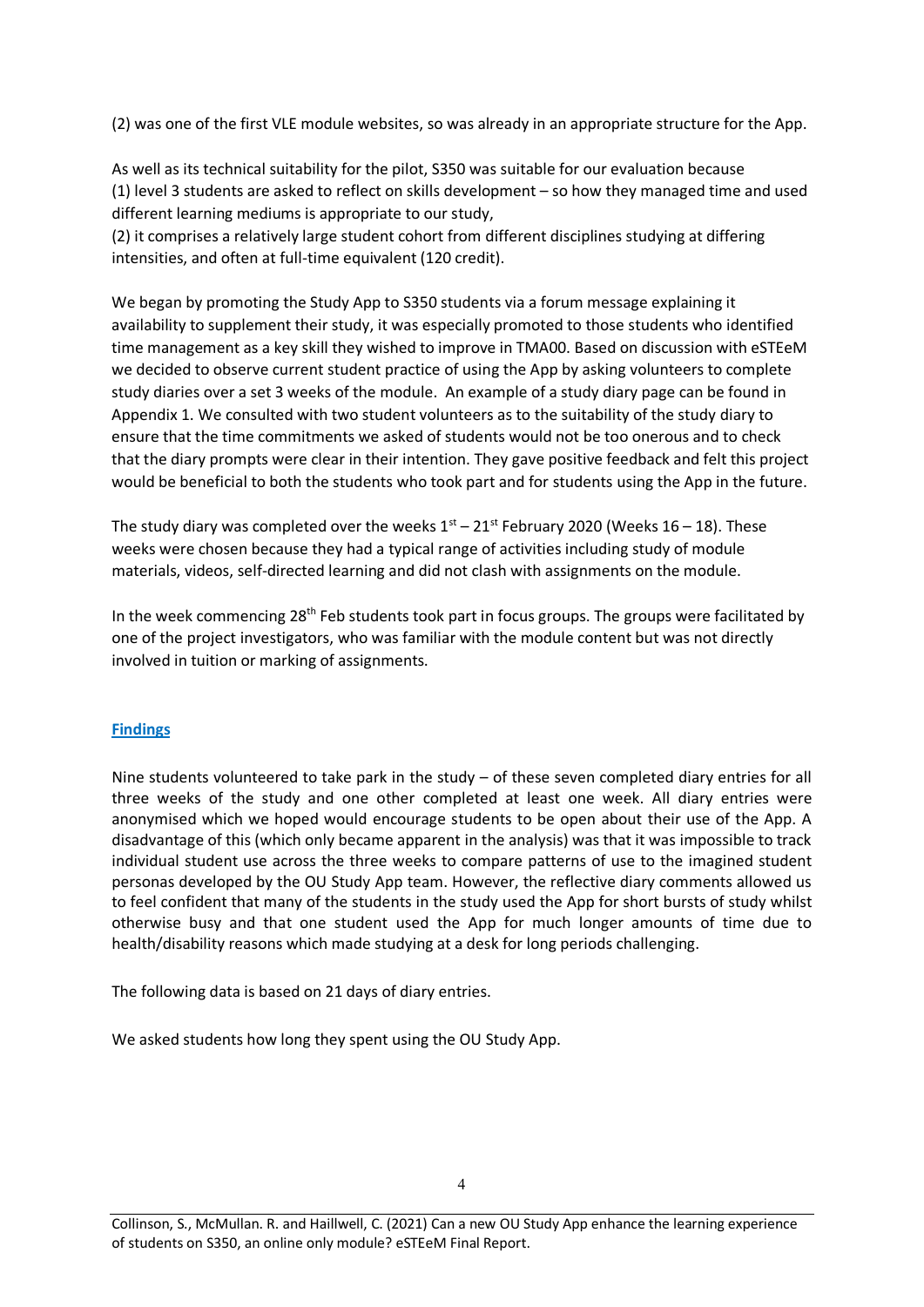(2) was one of the first VLE module websites, so was already in an appropriate structure for the App.

As well as its technical suitability for the pilot, S350 was suitable for our evaluation because (1) level 3 students are asked to reflect on skills development – so how they managed time and used different learning mediums is appropriate to our study,

(2) it comprises a relatively large student cohort from different disciplines studying at differing intensities, and often at full-time equivalent (120 credit).

We began by promoting the Study App to S350 students via a forum message explaining it availability to supplement their study, it was especially promoted to those students who identified time management as a key skill they wished to improve in TMA00. Based on discussion with eSTEeM we decided to observe current student practice of using the App by asking volunteers to complete study diaries over a set 3 weeks of the module. An example of a study diary page can be found in Appendix 1. We consulted with two student volunteers as to the suitability of the study diary to ensure that the time commitments we asked of students would not be too onerous and to check that the diary prompts were clear in their intention. They gave positive feedback and felt this project would be beneficial to both the students who took part and for students using the App in the future.

The study diary was completed over the weeks  $1<sup>st</sup> - 21<sup>st</sup>$  February 2020 (Weeks 16 – 18). These weeks were chosen because they had a typical range of activities including study of module materials, videos, self-directed learning and did not clash with assignments on the module.

In the week commencing  $28<sup>th</sup>$  Feb students took part in focus groups. The groups were facilitated by one of the project investigators, who was familiar with the module content but was not directly involved in tuition or marking of assignments.

#### **Findings**

Nine students volunteered to take park in the study – of these seven completed diary entries for all three weeks of the study and one other completed at least one week. All diary entries were anonymised which we hoped would encourage students to be open about their use of the App. A disadvantage of this (which only became apparent in the analysis) was that it was impossible to track individual student use across the three weeks to compare patterns of use to the imagined student personas developed by the OU Study App team. However, the reflective diary comments allowed us to feel confident that many of the students in the study used the App for short bursts of study whilst otherwise busy and that one student used the App for much longer amounts of time due to health/disability reasons which made studying at a desk for long periods challenging.

The following data is based on 21 days of diary entries.

We asked students how long they spent using the OU Study App.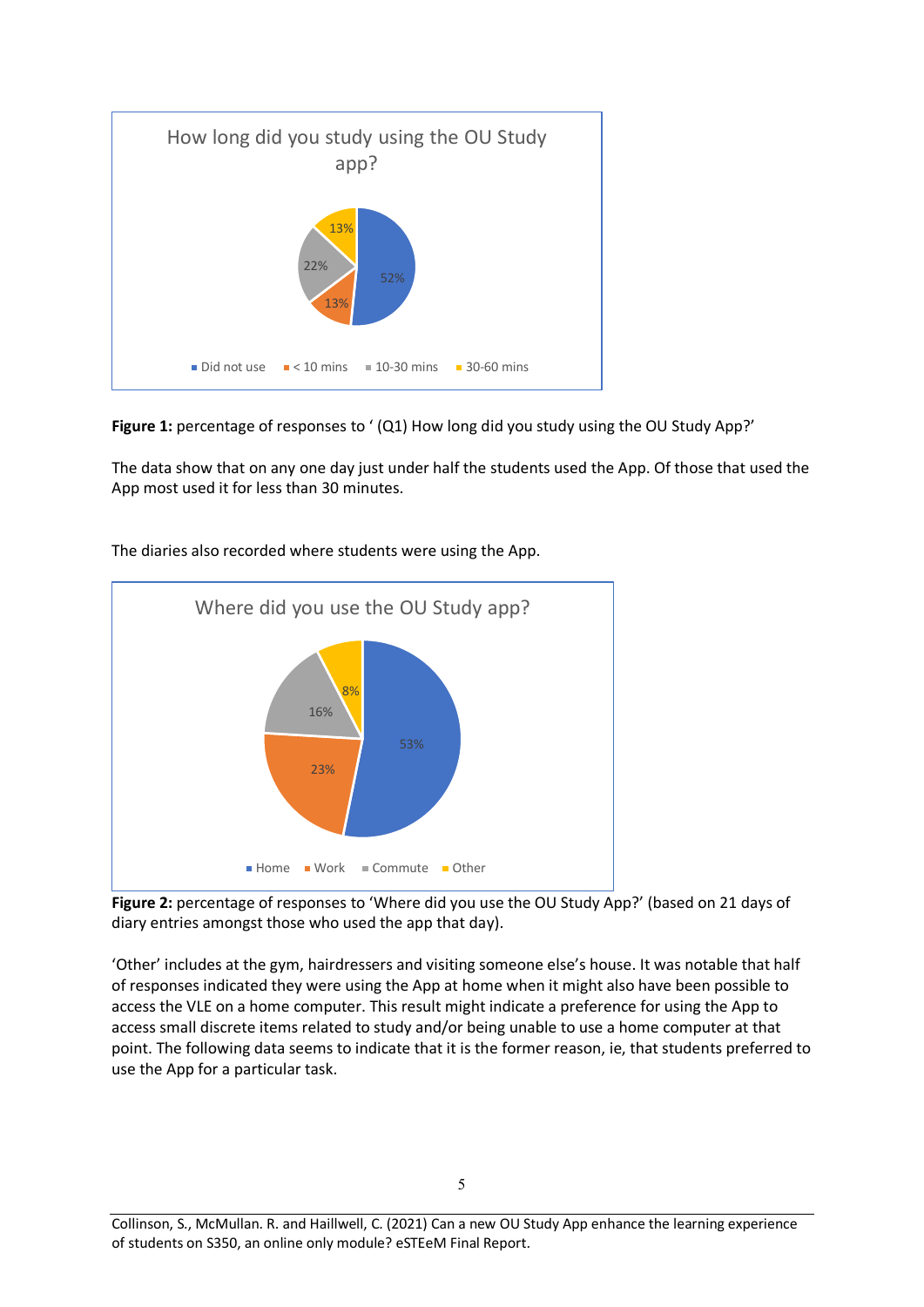

**Figure 1:** percentage of responses to ' (Q1) How long did you study using the OU Study App?'

The data show that on any one day just under half the students used the App. Of those that used the App most used it for less than 30 minutes.



The diaries also recorded where students were using the App.

**Figure 2:** percentage of responses to 'Where did you use the OU Study App?' (based on 21 days of diary entries amongst those who used the app that day).

'Other' includes at the gym, hairdressers and visiting someone else's house. It was notable that half of responses indicated they were using the App at home when it might also have been possible to access the VLE on a home computer. This result might indicate a preference for using the App to access small discrete items related to study and/or being unable to use a home computer at that point. The following data seems to indicate that it is the former reason, ie, that students preferred to use the App for a particular task.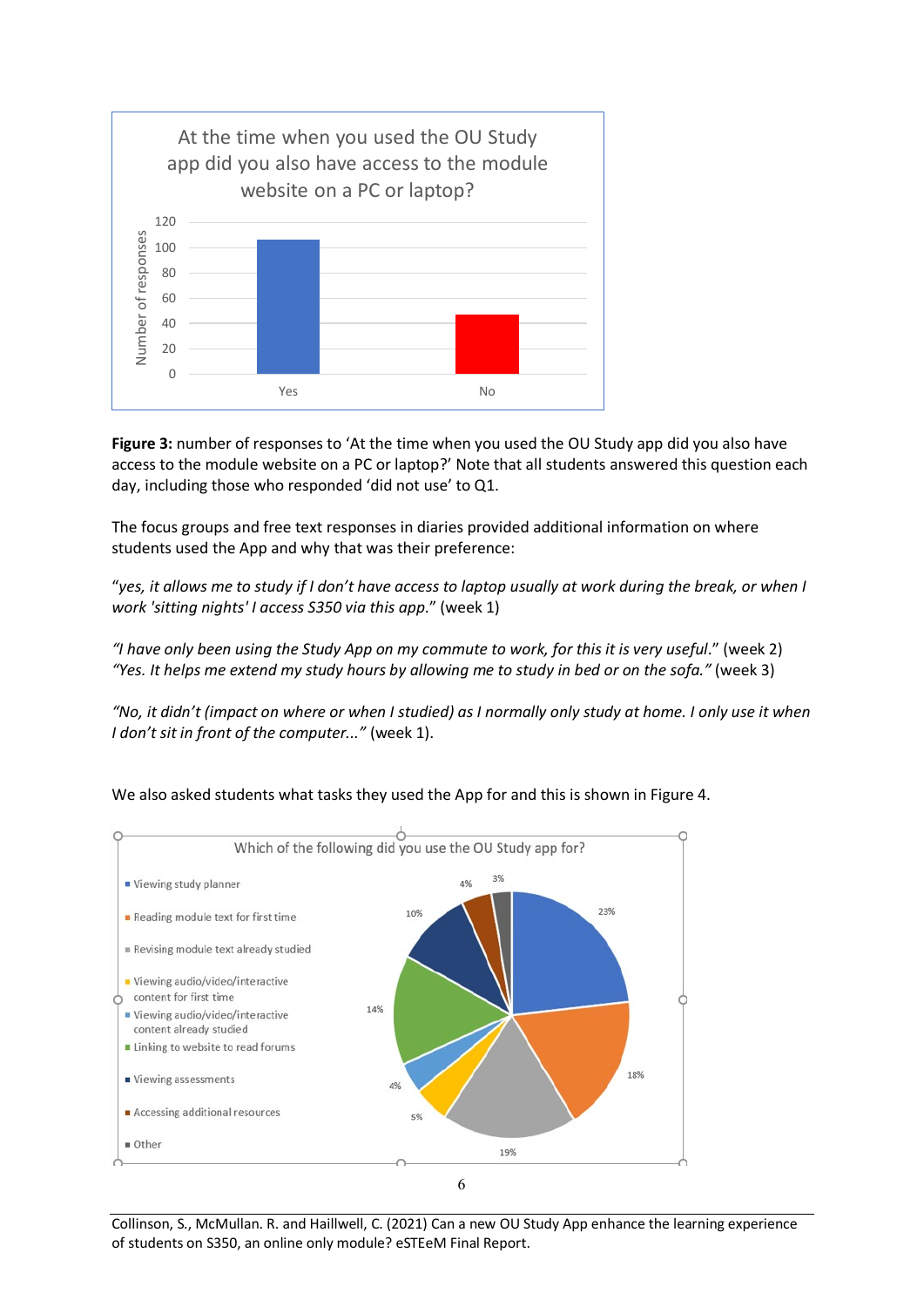

Figure 3: number of responses to 'At the time when you used the OU Study app did you also have access to the module website on a PC or laptop?' Note that all students answered this question each day, including those who responded 'did not use' to Q1.

The focus groups and free text responses in diaries provided additional information on where students used the App and why that was their preference:

"*yes, it allows me to study if I don't have access to laptop usually at work during the break, or when I work 'sitting nights' I access S350 via this app*." (week 1)

*"I have only been using the Study App on my commute to work, for this it is very useful*." (week 2) *"Yes. It helps me extend my study hours by allowing me to study in bed or on the sofa."* (week 3)

*"No, it didn't (impact on where or when I studied) as I normally only study at home. I only use it when I don't sit in front of the computer..."* (week 1).



We also asked students what tasks they used the App for and this is shown in Figure 4.

Collinson, S., McMullan. R. and Haillwell, C. (2021) Can a new OU Study App enhance the learning experience of students on S350, an online only module? eSTEeM Final Report.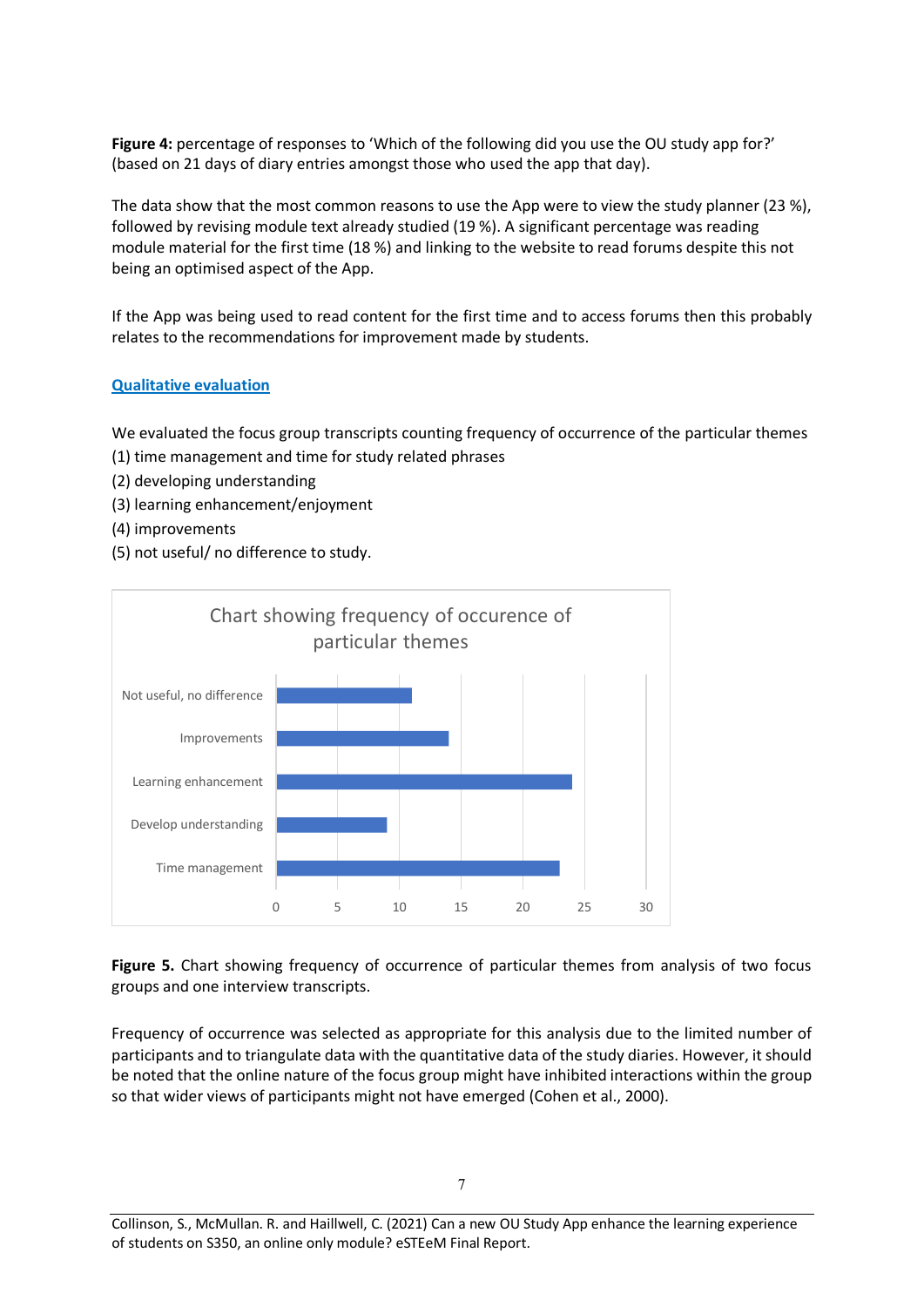**Figure 4:** percentage of responses to 'Which of the following did you use the OU study app for?' (based on 21 days of diary entries amongst those who used the app that day).

The data show that the most common reasons to use the App were to view the study planner (23 %), followed by revising module text already studied (19 %). A significant percentage was reading module material for the first time (18 %) and linking to the website to read forums despite this not being an optimised aspect of the App.

If the App was being used to read content for the first time and to access forums then this probably relates to the recommendations for improvement made by students.

#### **Qualitative evaluation**

We evaluated the focus group transcripts counting frequency of occurrence of the particular themes (1) time management and time for study related phrases

- (2) developing understanding
- (3) learning enhancement/enjoyment
- (4) improvements
- (5) not useful/ no difference to study.



**Figure 5.** Chart showing frequency of occurrence of particular themes from analysis of two focus groups and one interview transcripts.

Frequency of occurrence was selected as appropriate for this analysis due to the limited number of participants and to triangulate data with the quantitative data of the study diaries. However, it should be noted that the online nature of the focus group might have inhibited interactions within the group so that wider views of participants might not have emerged (Cohen et al., 2000).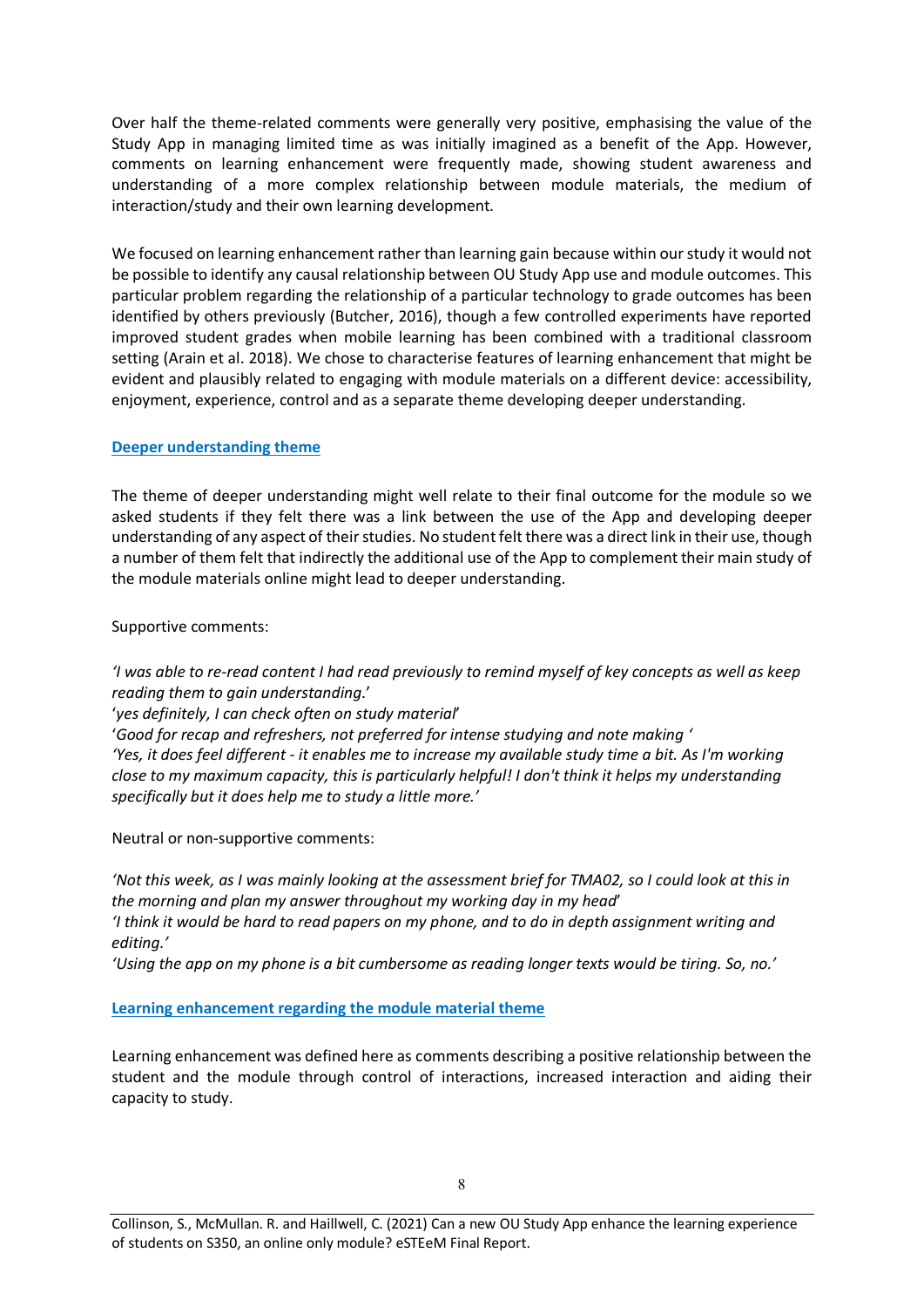Over half the theme-related comments were generally very positive, emphasising the value of the Study App in managing limited time as was initially imagined as a benefit of the App. However, comments on learning enhancement were frequently made, showing student awareness and understanding of a more complex relationship between module materials, the medium of interaction/study and their own learning development.

We focused on learning enhancement rather than learning gain because within our study it would not be possible to identify any causal relationship between OU Study App use and module outcomes. This particular problem regarding the relationship of a particular technology to grade outcomes has been identified by others previously (Butcher, 2016), though a few controlled experiments have reported improved student grades when mobile learning has been combined with a traditional classroom setting (Arain et al. 2018). We chose to characterise features of learning enhancement that might be evident and plausibly related to engaging with module materials on a different device: accessibility, enjoyment, experience, control and as a separate theme developing deeper understanding.

#### **Deeper understanding theme**

The theme of deeper understanding might well relate to their final outcome for the module so we asked students if they felt there was a link between the use of the App and developing deeper understanding of any aspect of their studies. No student felt there was a direct link in their use, though a number of them felt that indirectly the additional use of the App to complement their main study of the module materials online might lead to deeper understanding.

Supportive comments:

*'I was able to re-read content I had read previously to remind myself of key concepts as well as keep reading them to gain understanding*.'

'*yes definitely, I can check often on study material*'

'*Good for recap and refreshers, not preferred for intense studying and note making ' 'Yes, it does feel different - it enables me to increase my available study time a bit. As I'm working close to my maximum capacity, this is particularly helpful! I don't think it helps my understanding specifically but it does help me to study a little more.'*

Neutral or non-supportive comments:

*'Not this week, as I was mainly looking at the assessment brief for TMA02, so I could look at this in the morning and plan my answer throughout my working day in my head*' *'I think it would be hard to read papers on my phone, and to do in depth assignment writing and editing.'*

*'Using the app on my phone is a bit cumbersome as reading longer texts would be tiring. So, no.'*

#### **Learning enhancement regarding the module material theme**

Learning enhancement was defined here as comments describing a positive relationship between the student and the module through control of interactions, increased interaction and aiding their capacity to study.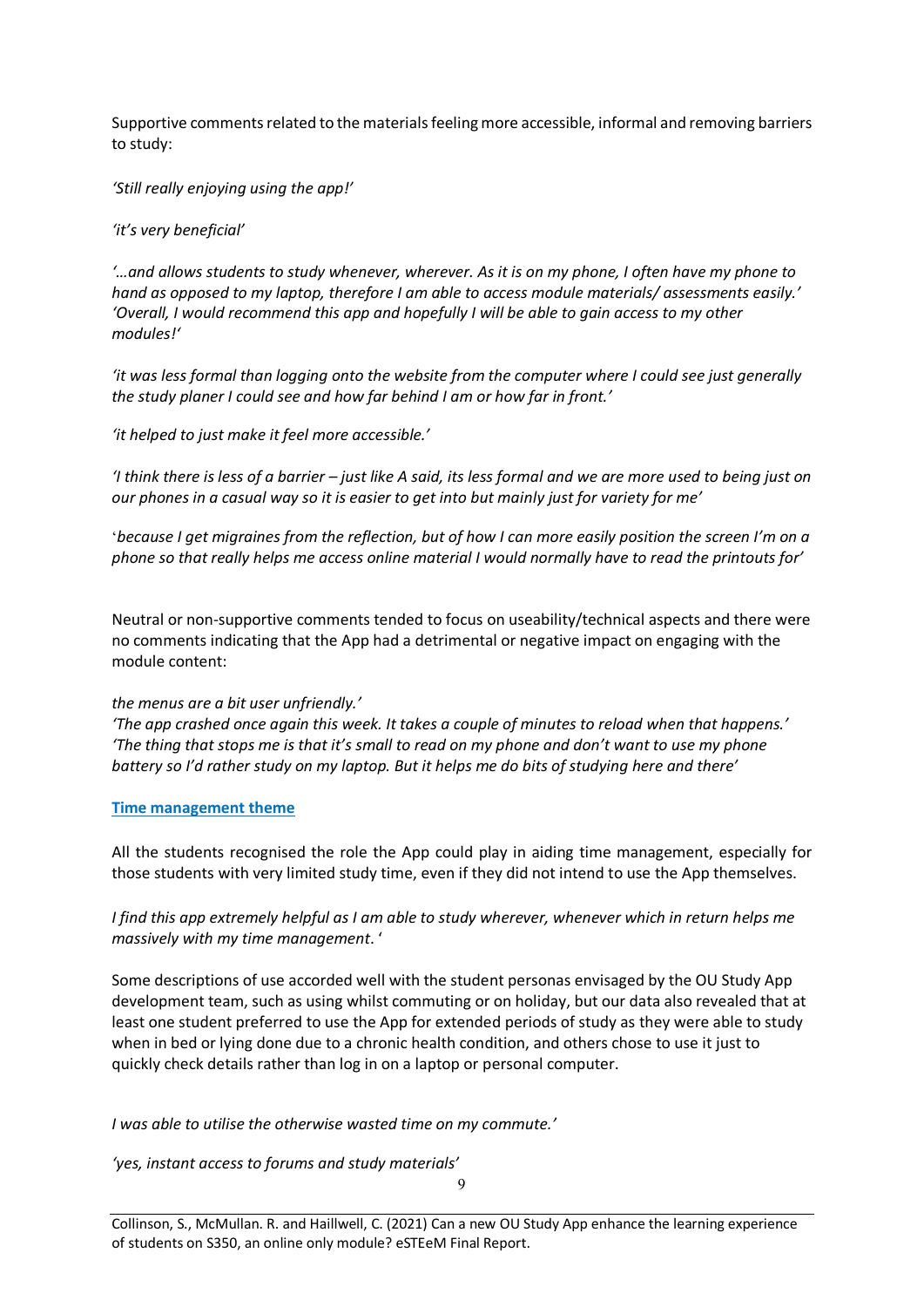Supportive comments related to the materials feeling more accessible, informal and removing barriers to study:

*'Still really enjoying using the app!'*

#### *'it's very beneficial'*

*'…and allows students to study whenever, wherever. As it is on my phone, I often have my phone to hand as opposed to my laptop, therefore I am able to access module materials/ assessments easily.' 'Overall, I would recommend this app and hopefully I will be able to gain access to my other modules!'*

*'it was less formal than logging onto the website from the computer where I could see just generally the study planer I could see and how far behind I am or how far in front.'*

*'it helped to just make it feel more accessible.'*

*'I think there is less of a barrier – just like A said, its less formal and we are more used to being just on our phones in a casual way so it is easier to get into but mainly just for variety for me'*

'*because I get migraines from the reflection, but of how I can more easily position the screen I'm on a phone so that really helps me access online material I would normally have to read the printouts for'*

Neutral or non-supportive comments tended to focus on useability/technical aspects and there were no comments indicating that the App had a detrimental or negative impact on engaging with the module content:

#### *the menus are a bit user unfriendly.'*

*'The app crashed once again this week. It takes a couple of minutes to reload when that happens.' 'The thing that stops me is that it's small to read on my phone and don't want to use my phone battery so I'd rather study on my laptop. But it helps me do bits of studying here and there'*

#### **Time management theme**

All the students recognised the role the App could play in aiding time management, especially for those students with very limited study time, even if they did not intend to use the App themselves.

*I* find this app extremely helpful as I am able to study wherever, whenever which in return helps me *massively with my time management*. '

Some descriptions of use accorded well with the student personas envisaged by the OU Study App development team, such as using whilst commuting or on holiday, but our data also revealed that at least one student preferred to use the App for extended periods of study as they were able to study when in bed or lying done due to a chronic health condition, and others chose to use it just to quickly check details rather than log in on a laptop or personal computer.

*I was able to utilise the otherwise wasted time on my commute.'*

*'yes, instant access to forums and study materials'*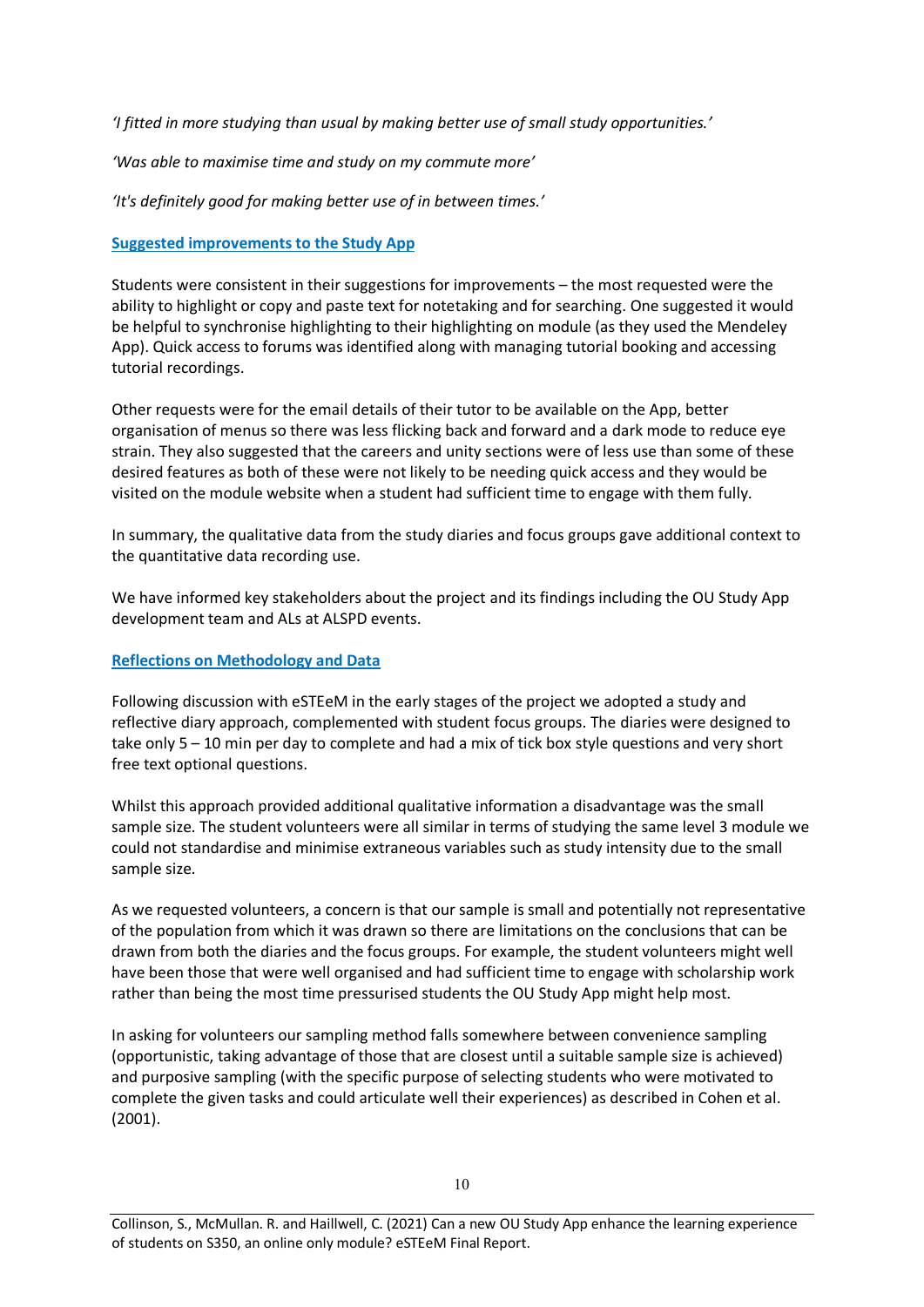*'I fitted in more studying than usual by making better use of small study opportunities.'*

*'Was able to maximise time and study on my commute more'*

*'It's definitely good for making better use of in between times.'* 

#### **Suggested improvements to the Study App**

Students were consistent in their suggestions for improvements – the most requested were the ability to highlight or copy and paste text for notetaking and for searching. One suggested it would be helpful to synchronise highlighting to their highlighting on module (as they used the Mendeley App). Quick access to forums was identified along with managing tutorial booking and accessing tutorial recordings.

Other requests were for the email details of their tutor to be available on the App, better organisation of menus so there was less flicking back and forward and a dark mode to reduce eye strain. They also suggested that the careers and unity sections were of less use than some of these desired features as both of these were not likely to be needing quick access and they would be visited on the module website when a student had sufficient time to engage with them fully.

In summary, the qualitative data from the study diaries and focus groups gave additional context to the quantitative data recording use.

We have informed key stakeholders about the project and its findings including the OU Study App development team and ALs at ALSPD events.

#### **Reflections on Methodology and Data**

Following discussion with eSTEeM in the early stages of the project we adopted a study and reflective diary approach, complemented with student focus groups. The diaries were designed to take only 5 – 10 min per day to complete and had a mix of tick box style questions and very short free text optional questions.

Whilst this approach provided additional qualitative information a disadvantage was the small sample size. The student volunteers were all similar in terms of studying the same level 3 module we could not standardise and minimise extraneous variables such as study intensity due to the small sample size.

As we requested volunteers, a concern is that our sample is small and potentially not representative of the population from which it was drawn so there are limitations on the conclusions that can be drawn from both the diaries and the focus groups. For example, the student volunteers might well have been those that were well organised and had sufficient time to engage with scholarship work rather than being the most time pressurised students the OU Study App might help most.

In asking for volunteers our sampling method falls somewhere between convenience sampling (opportunistic, taking advantage of those that are closest until a suitable sample size is achieved) and purposive sampling (with the specific purpose of selecting students who were motivated to complete the given tasks and could articulate well their experiences) as described in Cohen et al. (2001).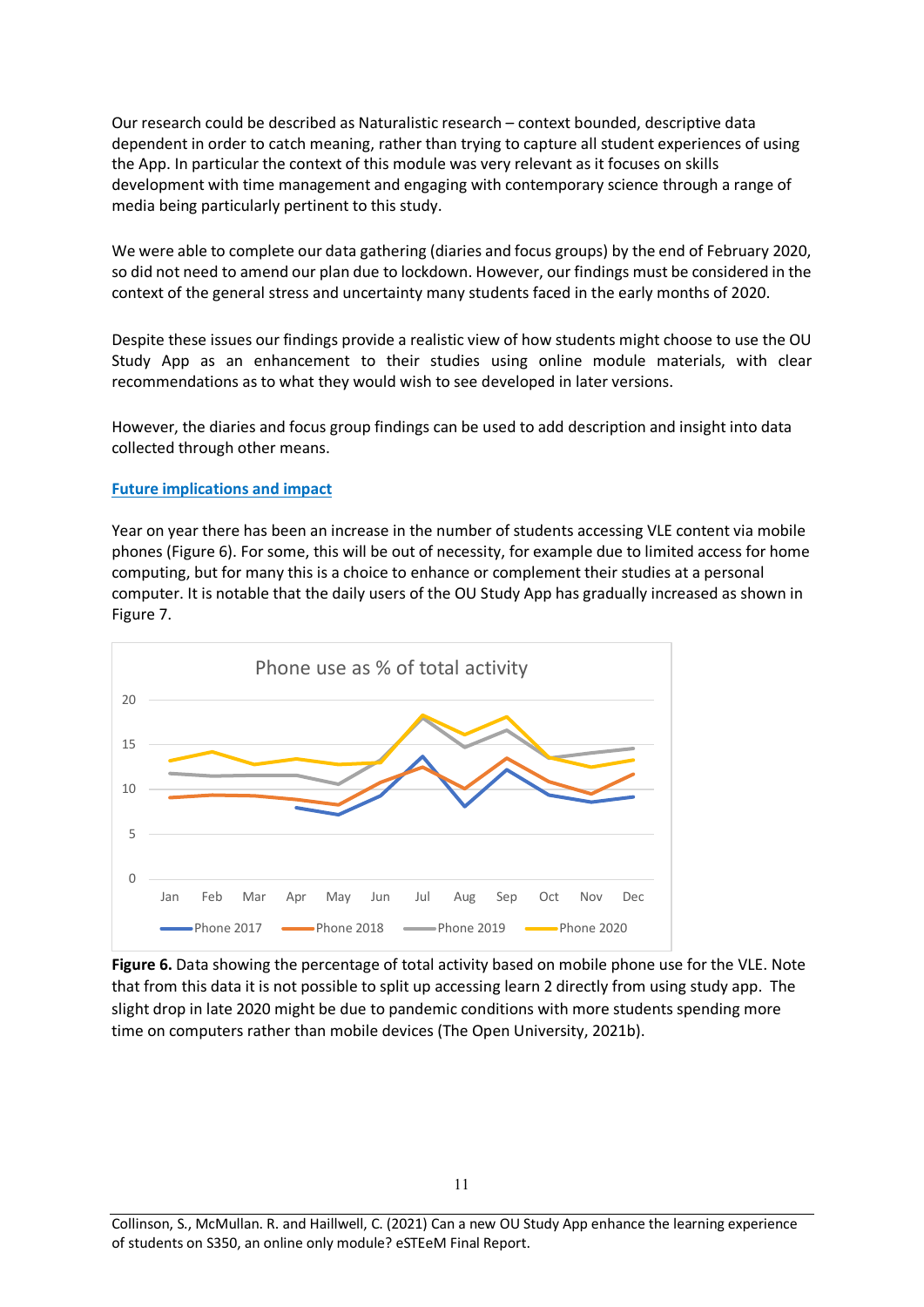Our research could be described as Naturalistic research – context bounded, descriptive data dependent in order to catch meaning, rather than trying to capture all student experiences of using the App. In particular the context of this module was very relevant as it focuses on skills development with time management and engaging with contemporary science through a range of media being particularly pertinent to this study.

We were able to complete our data gathering (diaries and focus groups) by the end of February 2020, so did not need to amend our plan due to lockdown. However, our findings must be considered in the context of the general stress and uncertainty many students faced in the early months of 2020.

Despite these issues our findings provide a realistic view of how students might choose to use the OU Study App as an enhancement to their studies using online module materials, with clear recommendations as to what they would wish to see developed in later versions.

However, the diaries and focus group findings can be used to add description and insight into data collected through other means.

#### **Future implications and impact**

Year on year there has been an increase in the number of students accessing VLE content via mobile phones (Figure 6). For some, this will be out of necessity, for example due to limited access for home computing, but for many this is a choice to enhance or complement their studies at a personal computer. It is notable that the daily users of the OU Study App has gradually increased as shown in Figure 7.



**Figure 6.** Data showing the percentage of total activity based on mobile phone use for the VLE. Note that from this data it is not possible to split up accessing learn 2 directly from using study app. The slight drop in late 2020 might be due to pandemic conditions with more students spending more time on computers rather than mobile devices (The Open University, 2021b).

Collinson, S., McMullan. R. and Haillwell, C. (2021) Can a new OU Study App enhance the learning experience of students on S350, an online only module? eSTEeM Final Report.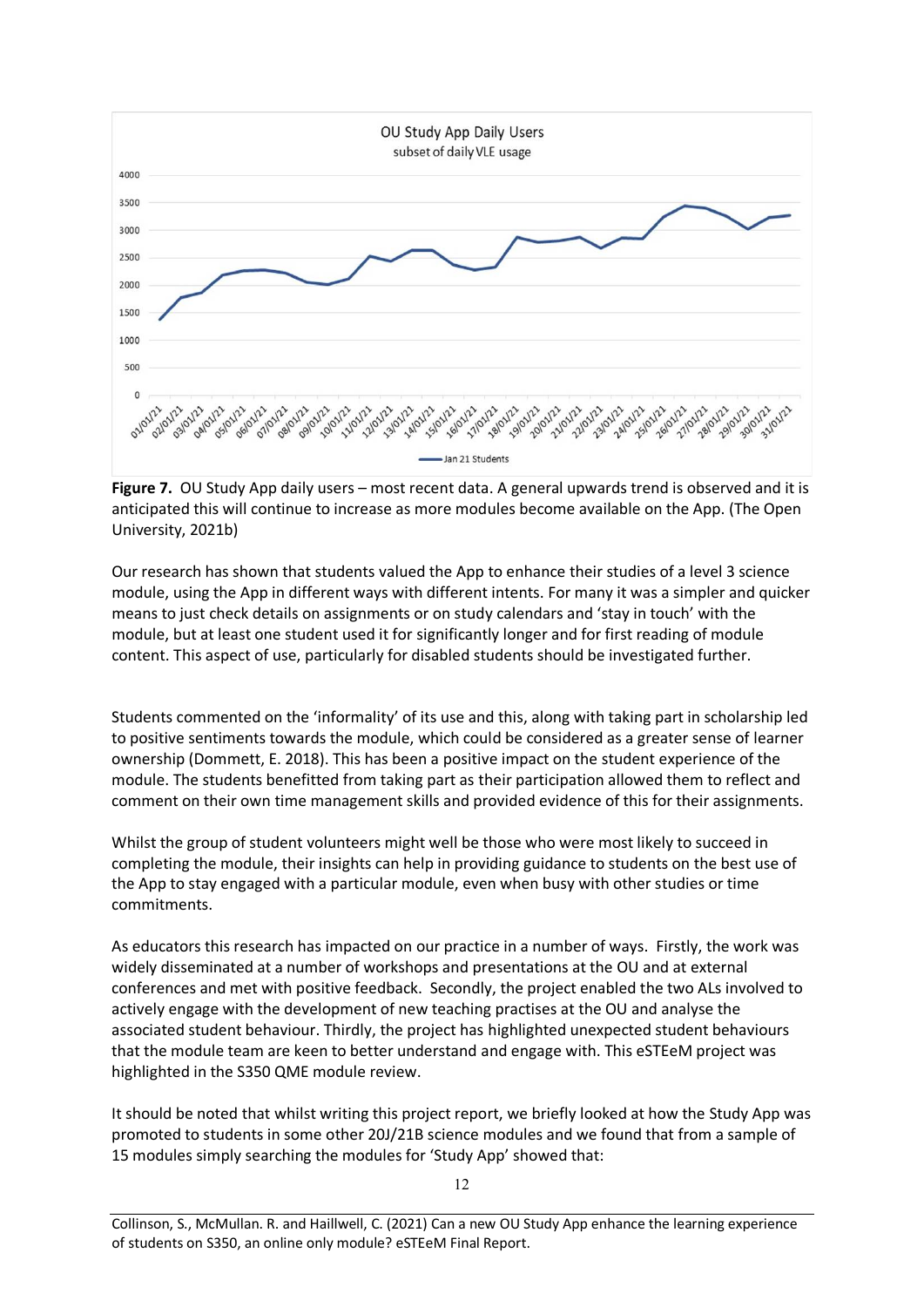

**Figure 7.** OU Study App daily users – most recent data. A general upwards trend is observed and it is anticipated this will continue to increase as more modules become available on the App. (The Open University, 2021b)

Our research has shown that students valued the App to enhance their studies of a level 3 science module, using the App in different ways with different intents. For many it was a simpler and quicker means to just check details on assignments or on study calendars and 'stay in touch' with the module, but at least one student used it for significantly longer and for first reading of module content. This aspect of use, particularly for disabled students should be investigated further.

Students commented on the 'informality' of its use and this, along with taking part in scholarship led to positive sentiments towards the module, which could be considered as a greater sense of learner ownership (Dommett, E. 2018). This has been a positive impact on the student experience of the module. The students benefitted from taking part as their participation allowed them to reflect and comment on their own time management skills and provided evidence of this for their assignments.

Whilst the group of student volunteers might well be those who were most likely to succeed in completing the module, their insights can help in providing guidance to students on the best use of the App to stay engaged with a particular module, even when busy with other studies or time commitments.

As educators this research has impacted on our practice in a number of ways. Firstly, the work was widely disseminated at a number of workshops and presentations at the OU and at external conferences and met with positive feedback. Secondly, the project enabled the two ALs involved to actively engage with the development of new teaching practises at the OU and analyse the associated student behaviour. Thirdly, the project has highlighted unexpected student behaviours that the module team are keen to better understand and engage with. This eSTEeM project was highlighted in the S350 QME module review.

It should be noted that whilst writing this project report, we briefly looked at how the Study App was promoted to students in some other 20J/21B science modules and we found that from a sample of 15 modules simply searching the modules for 'Study App' showed that: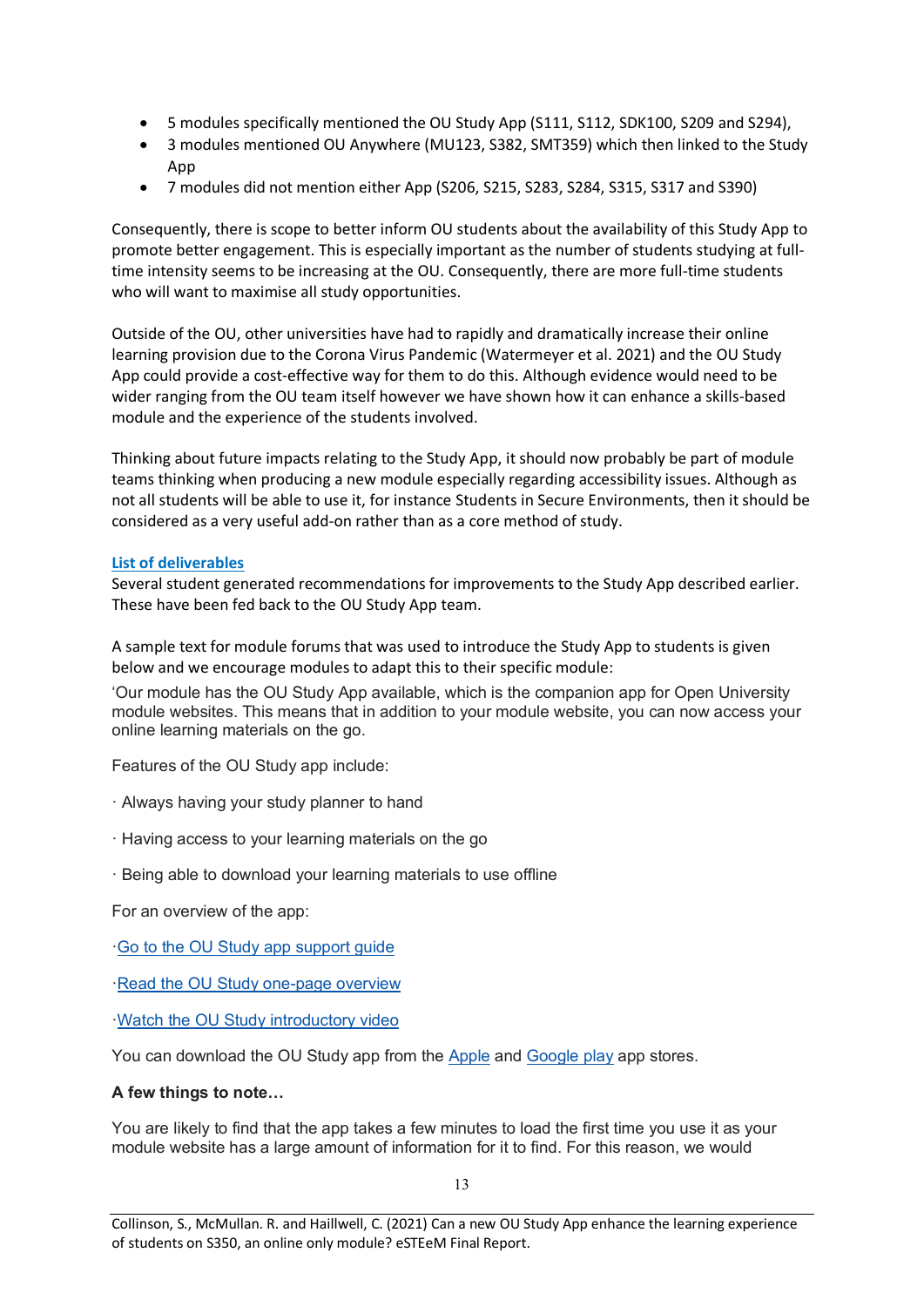- 5 modules specifically mentioned the OU Study App (S111, S112, SDK100, S209 and S294),
- 3 modules mentioned OU Anywhere (MU123, S382, SMT359) which then linked to the Study App
- 7 modules did not mention either App (S206, S215, S283, S284, S315, S317 and S390)

Consequently, there is scope to better inform OU students about the availability of this Study App to promote better engagement. This is especially important as the number of students studying at fulltime intensity seems to be increasing at the OU. Consequently, there are more full-time students who will want to maximise all study opportunities.

Outside of the OU, other universities have had to rapidly and dramatically increase their online learning provision due to the Corona Virus Pandemic (Watermeyer et al. 2021) and the OU Study App could provide a cost-effective way for them to do this. Although evidence would need to be wider ranging from the OU team itself however we have shown how it can enhance a skills-based module and the experience of the students involved.

Thinking about future impacts relating to the Study App, it should now probably be part of module teams thinking when producing a new module especially regarding accessibility issues. Although as not all students will be able to use it, for instance Students in Secure Environments, then it should be considered as a very useful add-on rather than as a core method of study.

#### **List of deliverables**

Several student generated recommendations for improvements to the Study App described earlier. These have been fed back to the OU Study App team.

A sample text for module forums that was used to introduce the Study App to students is given below and we encourage modules to adapt this to their specific module:

'Our module has the OU Study App available, which is the companion app for Open University module websites. This means that in addition to your module website, you can now access your online learning materials on the go.

Features of the OU Study app include:

- · Always having your study planner to hand
- · Having access to your learning materials on the go
- · Being able to download your learning materials to use offline

For an overview of the app:

[·Go to the OU Study app support guide](http://www.open.ac.uk/oustudyapp)

[·Read the OU Study one-page overview](https://learn1.open.ac.uk/pluginfile.php/567861/mod_resource/content/1/OU_Study_App_One_page_overview.pdf)

[·Watch the OU Study introductory video](https://youtu.be/Nqbo7SL4ZJM)

You can download the OU Study app from the [Apple](https://apps.apple.com/gb/app/ou-study/id1464171151) and [Google play](https://play.google.com/store/apps/details?id=uk.ac.open.oustudy&hl=en) app stores.

#### **A few things to note…**

You are likely to find that the app takes a few minutes to load the first time you use it as your module website has a large amount of information for it to find. For this reason, we would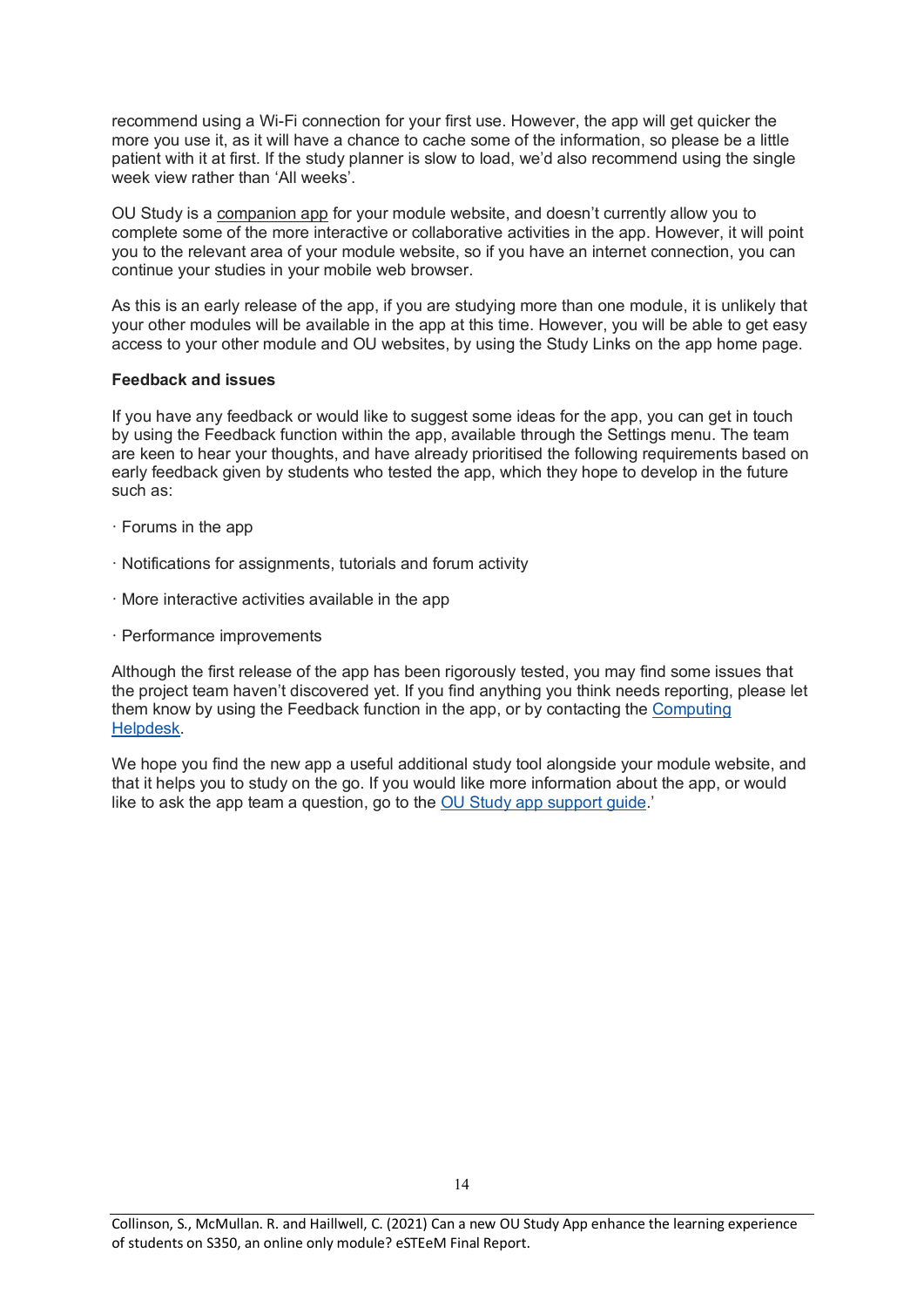recommend using a Wi-Fi connection for your first use. However, the app will get quicker the more you use it, as it will have a chance to cache some of the information, so please be a little patient with it at first. If the study planner is slow to load, we'd also recommend using the single week view rather than 'All weeks'.

OU Study is a companion app for your module website, and doesn't currently allow you to complete some of the more interactive or collaborative activities in the app. However, it will point you to the relevant area of your module website, so if you have an internet connection, you can continue your studies in your mobile web browser.

As this is an early release of the app, if you are studying more than one module, it is unlikely that your other modules will be available in the app at this time. However, you will be able to get easy access to your other module and OU websites, by using the Study Links on the app home page.

#### **Feedback and issues**

If you have any feedback or would like to suggest some ideas for the app, you can get in touch by using the Feedback function within the app, available through the Settings menu. The team are keen to hear your thoughts, and have already prioritised the following requirements based on early feedback given by students who tested the app, which they hope to develop in the future such as:

- · Forums in the app
- · Notifications for assignments, tutorials and forum activity
- · More interactive activities available in the app
- · Performance improvements

Although the first release of the app has been rigorously tested, you may find some issues that the project team haven't discovered yet. If you find anything you think needs reporting, please let them know by using the Feedback function in the app, or by contacting the [Computing](https://learn1.open.ac.uk/mod/subpage/view.php?id=121)  [Helpdesk.](https://learn1.open.ac.uk/mod/subpage/view.php?id=121)

We hope you find the new app a useful additional study tool alongside your module website, and that it helps you to study on the go. If you would like more information about the app, or would like to ask the app team a question, go to the [OU Study app support guide.](http://www.open.ac.uk/oustudyapp)'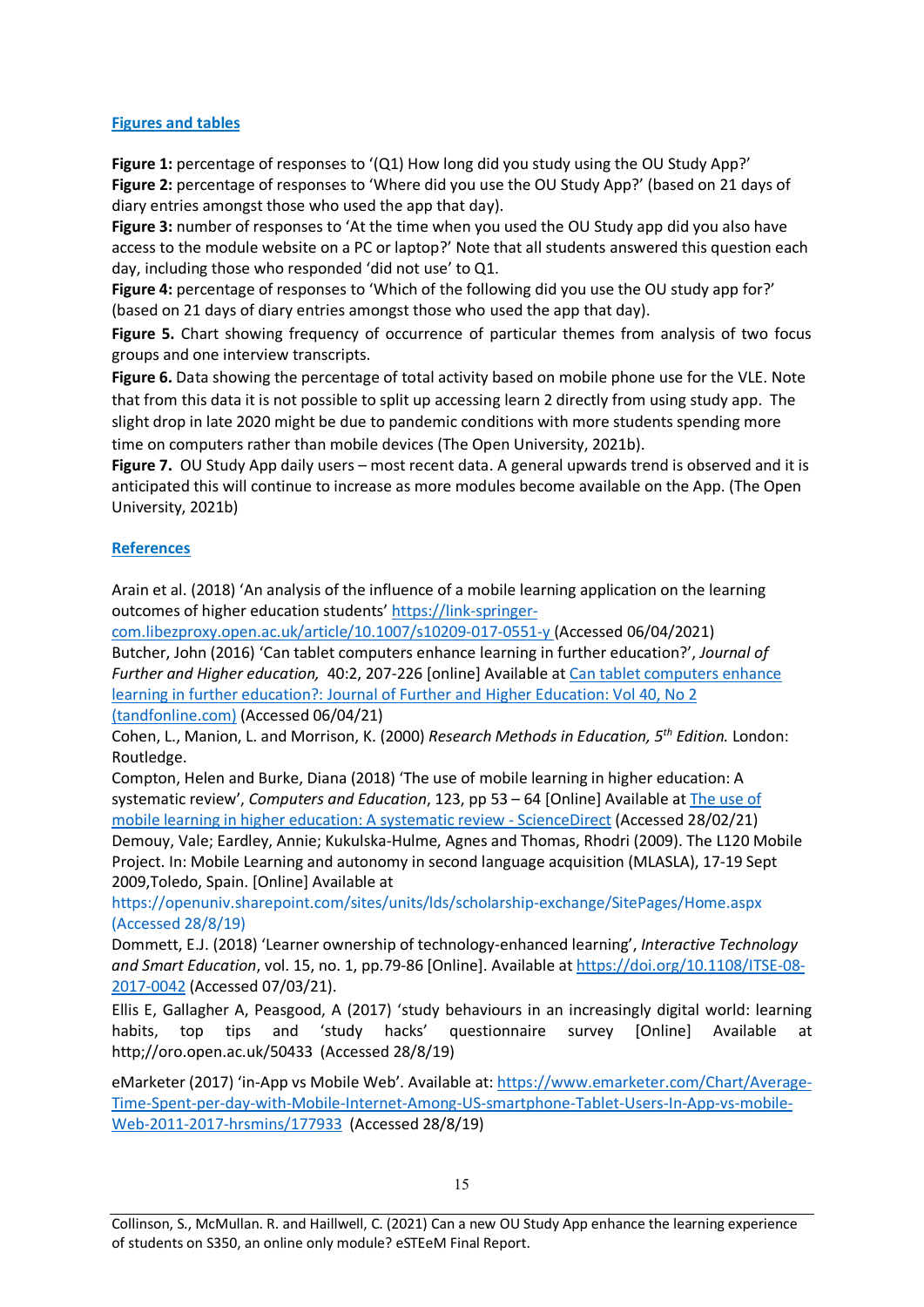#### **Figures and tables**

**Figure 1:** percentage of responses to '(Q1) How long did you study using the OU Study App?' **Figure 2:** percentage of responses to 'Where did you use the OU Study App?' (based on 21 days of diary entries amongst those who used the app that day).

**Figure 3:** number of responses to 'At the time when you used the OU Study app did you also have access to the module website on a PC or laptop?' Note that all students answered this question each day, including those who responded 'did not use' to Q1.

**Figure 4:** percentage of responses to 'Which of the following did you use the OU study app for?' (based on 21 days of diary entries amongst those who used the app that day).

**Figure 5.** Chart showing frequency of occurrence of particular themes from analysis of two focus groups and one interview transcripts.

**Figure 6.** Data showing the percentage of total activity based on mobile phone use for the VLE. Note that from this data it is not possible to split up accessing learn 2 directly from using study app. The slight drop in late 2020 might be due to pandemic conditions with more students spending more time on computers rather than mobile devices (The Open University, 2021b).

**Figure 7.** OU Study App daily users – most recent data. A general upwards trend is observed and it is anticipated this will continue to increase as more modules become available on the App. (The Open University, 2021b)

### **References**

Arain et al. (2018) 'An analysis of the influence of a mobile learning application on the learning outcomes of higher education students' [https://link-springer-](https://link-springer-com.libezproxy.open.ac.uk/article/10.1007/s10209-017-0551-y)

[com.libezproxy.open.ac.uk/article/10.1007/s10209-017-0551-y](https://link-springer-com.libezproxy.open.ac.uk/article/10.1007/s10209-017-0551-y) (Accessed 06/04/2021) Butcher, John (2016) 'Can tablet computers enhance learning in further education?', *Journal of Further and Higher education,* 40:2, 207-226 [online] Available at [Can tablet computers enhance](https://www.tandfonline.com/doi/full/10.1080/0309877X.2014.938267)  [learning in further education?: Journal of Further and Higher Education: Vol 40, No 2](https://www.tandfonline.com/doi/full/10.1080/0309877X.2014.938267)  [\(tandfonline.com\)](https://www.tandfonline.com/doi/full/10.1080/0309877X.2014.938267) (Accessed 06/04/21)

Cohen, L., Manion, L. and Morrison, K. (2000) *Research Methods in Education, 5th Edition.* London: Routledge.

Compton, Helen and Burke, Diana (2018) 'The use of mobile learning in higher education: A systematic review', *Computers and Education*, 123, pp 53 – 64 [Online] Available a[t The use of](https://www.sciencedirect.com/science/article/pii/S0360131518300873?via%3Dihub)  [mobile learning in higher education: A systematic review -](https://www.sciencedirect.com/science/article/pii/S0360131518300873?via%3Dihub) ScienceDirect (Accessed 28/02/21)

Demouy, Vale; Eardley, Annie; Kukulska-Hulme, Agnes and Thomas, Rhodri (2009). The L120 Mobile Project. In: Mobile Learning and autonomy in second language acquisition (MLASLA), 17-19 Sept 2009,Toledo, Spain. [Online] Available at

[https://openuniv.sharepoint.com/sites/units/lds/scholarship-exchange/SitePages/Home.aspx](https://openuniv.sharepoint.com/sites/units/lds/scholarship-exchange/SitePages/Home.aspx%20(Accessed%2028/8/19)  [\(Accessed 28/8/19\)](https://openuniv.sharepoint.com/sites/units/lds/scholarship-exchange/SitePages/Home.aspx%20(Accessed%2028/8/19)

Dommett, E.J. (2018) 'Learner ownership of technology-enhanced learning', *Interactive Technology and Smart Education*, vol. 15, no. 1, pp.79-86 [Online]. Available a[t https://doi.org/10.1108/ITSE-08-](https://doi.org/10.1108/ITSE-08-2017-0042) [2017-0042](https://doi.org/10.1108/ITSE-08-2017-0042) (Accessed 07/03/21).

Ellis E, Gallagher A, Peasgood, A (2017) 'study behaviours in an increasingly digital world: learning habits, top tips and 'study hacks' questionnaire survey [Online] Available at http;//oro.open.ac.uk/50433 (Accessed 28/8/19)

eMarketer (2017) 'in-App vs Mobile Web'. Available at[: https://www.emarketer.com/Chart/Average-](https://www.emarketer.com/Chart/Average-Time-Spent-per-day-with-Mobile-Internet-Among-US-smartphone-Tablet-Users-In-App-vs-mobile-Web-2011-2017-hrsmins/177933)[Time-Spent-per-day-with-Mobile-Internet-Among-US-smartphone-Tablet-Users-In-App-vs-mobile-](https://www.emarketer.com/Chart/Average-Time-Spent-per-day-with-Mobile-Internet-Among-US-smartphone-Tablet-Users-In-App-vs-mobile-Web-2011-2017-hrsmins/177933)[Web-2011-2017-hrsmins/177933](https://www.emarketer.com/Chart/Average-Time-Spent-per-day-with-Mobile-Internet-Among-US-smartphone-Tablet-Users-In-App-vs-mobile-Web-2011-2017-hrsmins/177933) (Accessed 28/8/19)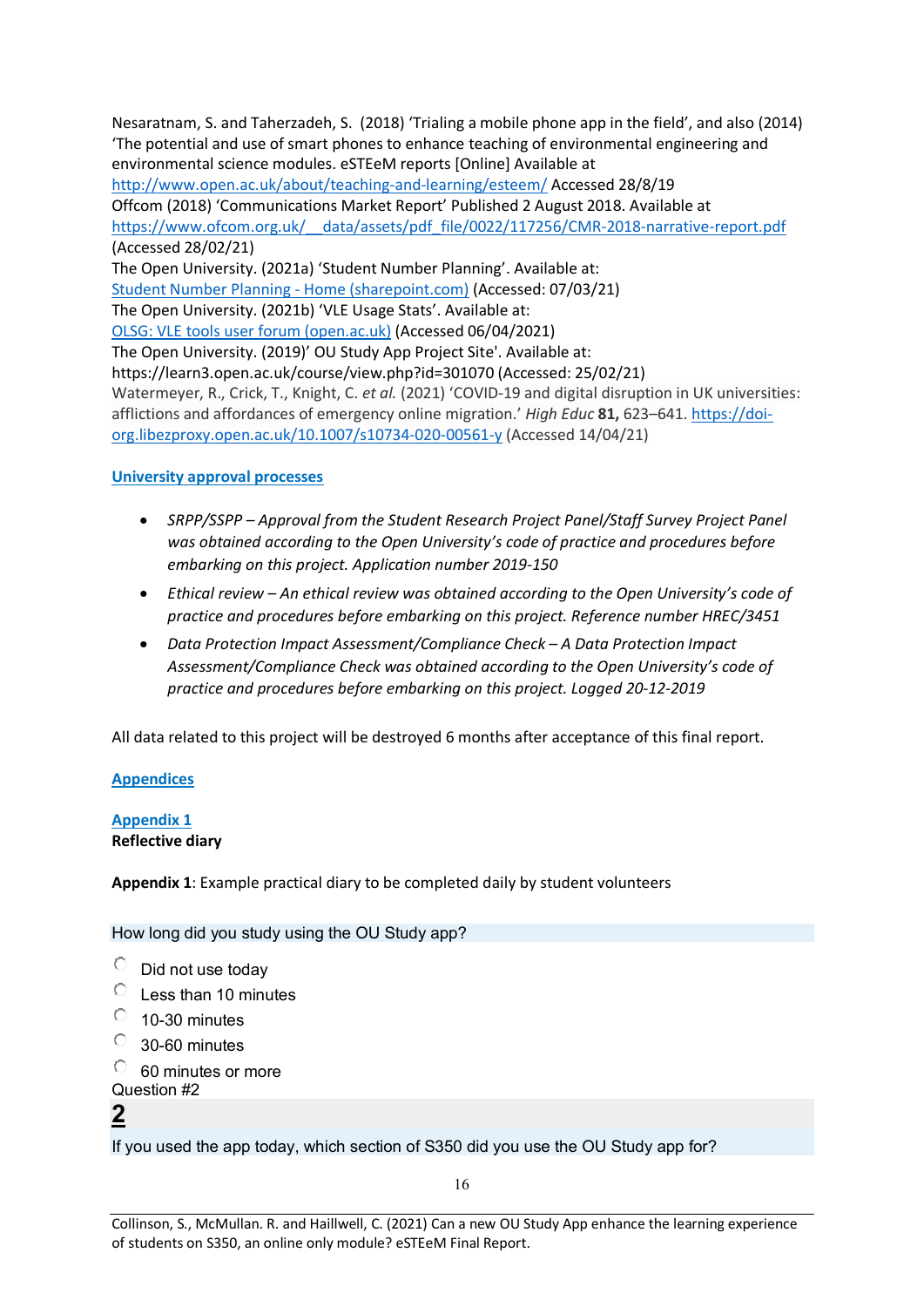Nesaratnam, S. and Taherzadeh, S. (2018) 'Trialing a mobile phone app in the field', and also (2014) 'The potential and use of smart phones to enhance teaching of environmental engineering and environmental science modules. eSTEeM reports [Online] Available at <http://www.open.ac.uk/about/teaching-and-learning/esteem/> Accessed 28/8/19 Offcom (2018) 'Communications Market Report' Published 2 August 2018. Available at [https://www.ofcom.org.uk/\\_\\_data/assets/pdf\\_file/0022/117256/CMR-2018-narrative-report.pdf](https://www.ofcom.org.uk/__data/assets/pdf_file/0022/117256/CMR-2018-narrative-report.pdf) (Accessed 28/02/21) The Open University. (2021a) 'Student Number Planning'. Available at: [Student Number Planning -](https://openuniv.sharepoint.com/sites/mi/student-number-planning?e=1%3A7417e8e1d25d49e3ad88562f6754b2a7) Home (sharepoint.com) (Accessed: 07/03/21) The Open University. (2021b) 'VLE Usage Stats'. Available at: [OLSG: VLE tools user forum \(open.ac.uk\)](https://learn3.open.ac.uk/mod/forumng/discuss.php?d=90684) (Accessed 06/04/2021) The Open University. (2019)' OU Study App Project Site'. Available at: https://learn3.open.ac.uk/course/view.php?id=301070 (Accessed: 25/02/21) Watermeyer, R., Crick, T., Knight, C. *et al.* (2021) 'COVID-19 and digital disruption in UK universities: afflictions and affordances of emergency online migration.' *High Educ* **81,** 623–641. [https://doi](https://doi-org.libezproxy.open.ac.uk/10.1007/s10734-020-00561-y)[org.libezproxy.open.ac.uk/10.1007/s10734-020-00561-y](https://doi-org.libezproxy.open.ac.uk/10.1007/s10734-020-00561-y) (Accessed 14/04/21)

#### **University approval processes**

- *SRPP/SSPP – Approval from the Student Research Project Panel/Staff Survey Project Panel was obtained according to the Open University's code of practice and procedures before embarking on this project. Application number 2019-150*
- *Ethical review – An ethical review was obtained according to the Open University's code of practice and procedures before embarking on this project. Reference number HREC/3451*
- *Data Protection Impact Assessment/Compliance Check – A Data Protection Impact Assessment/Compliance Check was obtained according to the Open University's code of practice and procedures before embarking on this project. Logged 20-12-2019*

All data related to this project will be destroyed 6 months after acceptance of this final report.

#### **Appendices**

## **Appendix 1**

#### **Reflective diary**

**Appendix 1**: Example practical diary to be completed daily by student volunteers

How long did you study using the OU Study app?

- $\circlearrowright$ Did not use today
- $\circ$ Less than 10 minutes
- $\circ$ 10-30 minutes
- 0. 30-60 minutes
- $\circ$ 60 minutes or more Question #2

# **2**

If you used the app today, which section of S350 did you use the OU Study app for?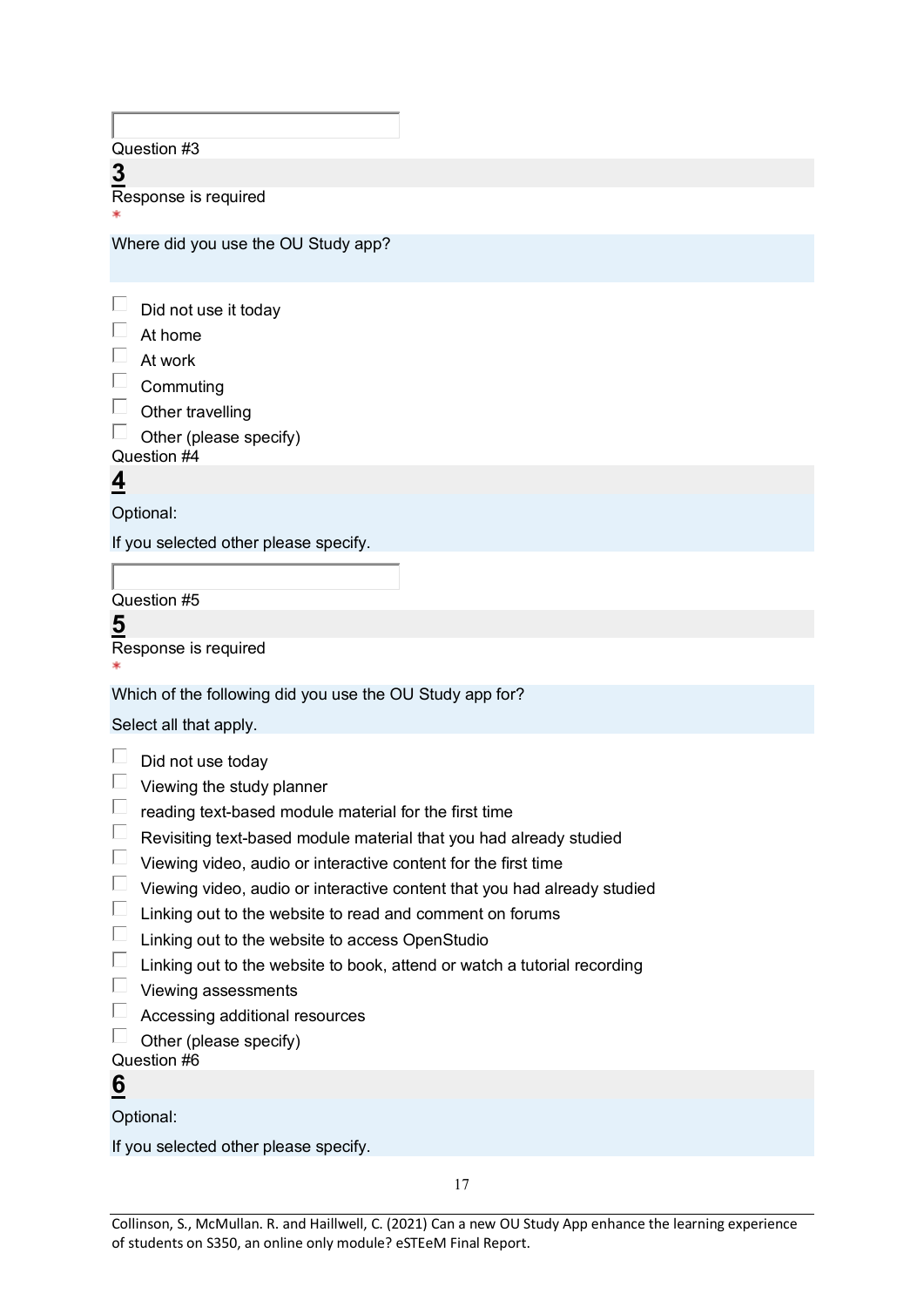Question #3

**3** Response is required

Where did you use the OU Study app?

| Did not use it today |  |
|----------------------|--|
|----------------------|--|

- $\Box$  At home
- $\Box$  At work
- $\square$  Commuting
- $\Box$  Other travelling

 $\Box$  Other (please specify)

Question #4

**4**

Optional:

If you selected other please specify.

Question #5

**5**

Response is required

Which of the following did you use the OU Study app for?

Select all that apply.

- $\Box$  Did not use today
- $\Box$  Viewing the study planner
- $\Box$  reading text-based module material for the first time
- $\Box$  Revisiting text-based module material that you had already studied
- $\Box$  Viewing video, audio or interactive content for the first time
- $\Box$  Viewing video, audio or interactive content that you had already studied
- $\Box$  Linking out to the website to read and comment on forums
- $\Box$  Linking out to the website to access OpenStudio
- $\Box$  Linking out to the website to book, attend or watch a tutorial recording
- $\Box$  Viewing assessments
- Accessing additional resources
- $\Box$  Other (please specify)
- Question #6

## **6**

Optional:

If you selected other please specify.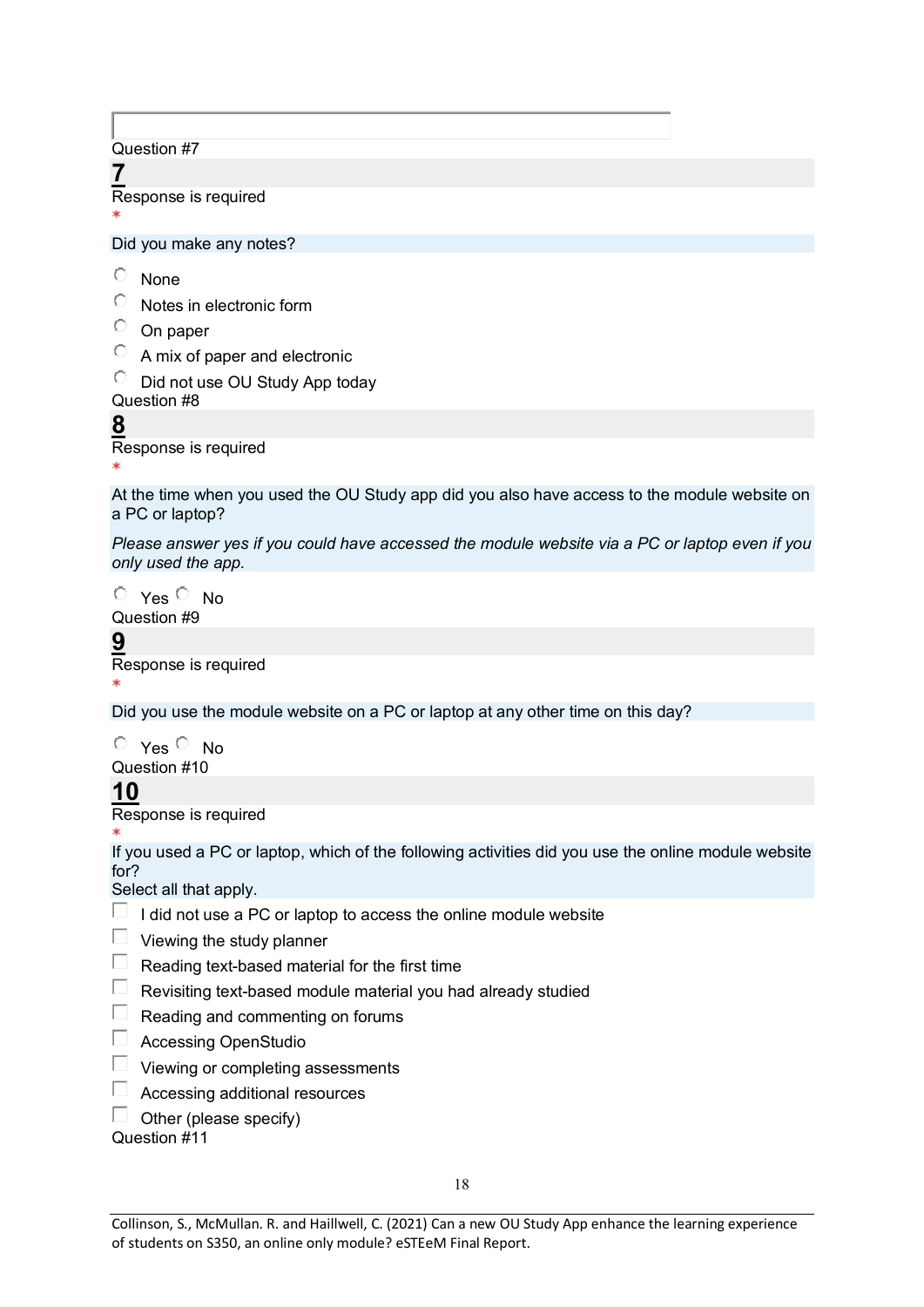Question #7

**7** Response is required

Did you make any notes?

- $\circlearrowright$ None
- $\bullet$ Notes in electronic form
- $\circ$  On paper
- A mix of paper and electronic

 $\overline{C}$  Did not use OU Study App today

Question #8

**8** Response is required

At the time when you used the OU Study app did you also have access to the module website on a PC or laptop?

*Please answer yes if you could have accessed the module website via a PC or laptop even if you only used the app.*

 $O$  Yes  $O$  No Question #9

**9** Response is required

Did you use the module website on a PC or laptop at any other time on this day?

 $O$  Yes  $O$  No Question #10

## **10**

Response is required

If you used a PC or laptop, which of the following activities did you use the online module website for?

Select all that apply.

- $\Box$  I did not use a PC or laptop to access the online module website
- $\Box$  Viewing the study planner
- $\Box$  Reading text-based material for the first time
- $\Box$  Revisiting text-based module material you had already studied
- Reading and commenting on forums
- Accessing OpenStudio
- Viewing or completing assessments
- Accessing additional resources
- $\Box$  Other (please specify)

Question #11